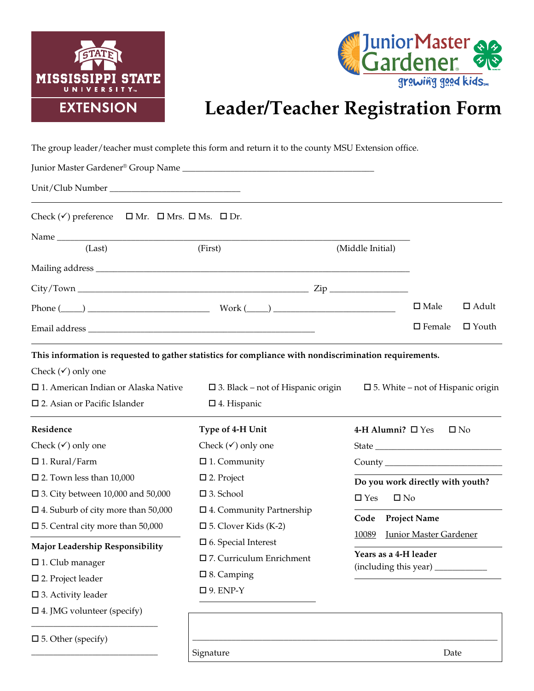



## **Leader/Teacher Registration Form**

The group leader/teacher must complete this form and return it to the county MSU Extension office.

| Check ( $\checkmark$ ) preference $\Box$ Mr. $\Box$ Mrs. $\Box$ Ms. $\Box$ Dr.                                                                                                                                             |                                                                      |                                  |                                             |              |
|----------------------------------------------------------------------------------------------------------------------------------------------------------------------------------------------------------------------------|----------------------------------------------------------------------|----------------------------------|---------------------------------------------|--------------|
|                                                                                                                                                                                                                            |                                                                      |                                  |                                             |              |
| (Last)                                                                                                                                                                                                                     | (First)                                                              | (Middle Initial)                 |                                             |              |
|                                                                                                                                                                                                                            |                                                                      |                                  |                                             |              |
|                                                                                                                                                                                                                            |                                                                      |                                  |                                             |              |
|                                                                                                                                                                                                                            |                                                                      |                                  | $\square$ Male                              | $\Box$ Adult |
|                                                                                                                                                                                                                            |                                                                      |                                  | $\square$ Female                            | $\Box$ Youth |
| This information is requested to gather statistics for compliance with nondiscrimination requirements.<br>Check $(\checkmark)$ only one<br>$\square$ 1. American Indian or Alaska Native<br>□ 2. Asian or Pacific Islander | $\square$ 3. Black – not of Hispanic origin<br>$\square$ 4. Hispanic |                                  | $\square$ 5. White – not of Hispanic origin |              |
| Residence                                                                                                                                                                                                                  | Type of 4-H Unit                                                     | 4-H Alumni? $\Box$ Yes           |                                             | $\square$ No |
| Check $(\checkmark)$ only one                                                                                                                                                                                              | Check $(\checkmark)$ only one                                        |                                  |                                             |              |
| $\square$ 1. Rural/Farm                                                                                                                                                                                                    | $\square$ 1. Community                                               |                                  |                                             |              |
| $\square$ 2. Town less than 10,000                                                                                                                                                                                         | $\square$ 2. Project                                                 | Do you work directly with youth? |                                             |              |
| $\square$ 3. City between 10,000 and 50,000                                                                                                                                                                                | $\square$ 3. School                                                  | $\square$ Yes<br>$\square$ No    |                                             |              |
| $\square$ 4. Suburb of city more than 50,000                                                                                                                                                                               | $\square$ 4. Community Partnership                                   | Code                             | <b>Project Name</b>                         |              |
| $\Box$ 5. Central city more than 50,000                                                                                                                                                                                    | $\square$ 5. Clover Kids (K-2)                                       | 10089                            | <b>Junior Master Gardener</b>               |              |
| Major Leadership Responsibility                                                                                                                                                                                            | $\square$ 6. Special Interest                                        | Years as a 4-H leader            |                                             |              |
| $\square$ 1. Club manager                                                                                                                                                                                                  | $\square$ 7. Curriculum Enrichment                                   |                                  |                                             |              |
| $\square$ 2. Project leader                                                                                                                                                                                                | $\square$ 8. Camping                                                 |                                  |                                             |              |
| $\square$ 3. Activity leader                                                                                                                                                                                               | $\square$ 9. ENP-Y                                                   |                                  |                                             |              |
| $\square$ 4. JMG volunteer (specify)                                                                                                                                                                                       |                                                                      |                                  |                                             |              |

 $\square$  5. Other (specify)

\_\_\_\_\_\_\_\_\_\_\_\_\_\_\_\_\_\_\_\_\_\_\_\_\_\_\_\_\_

Signature Date

\_\_\_\_\_\_\_\_\_\_\_\_\_\_\_\_\_\_\_\_\_\_\_\_\_\_\_\_\_\_\_\_\_\_\_\_\_\_\_\_\_\_\_\_\_\_\_\_\_\_\_\_\_\_\_\_\_\_\_\_\_\_\_\_\_\_\_\_\_\_